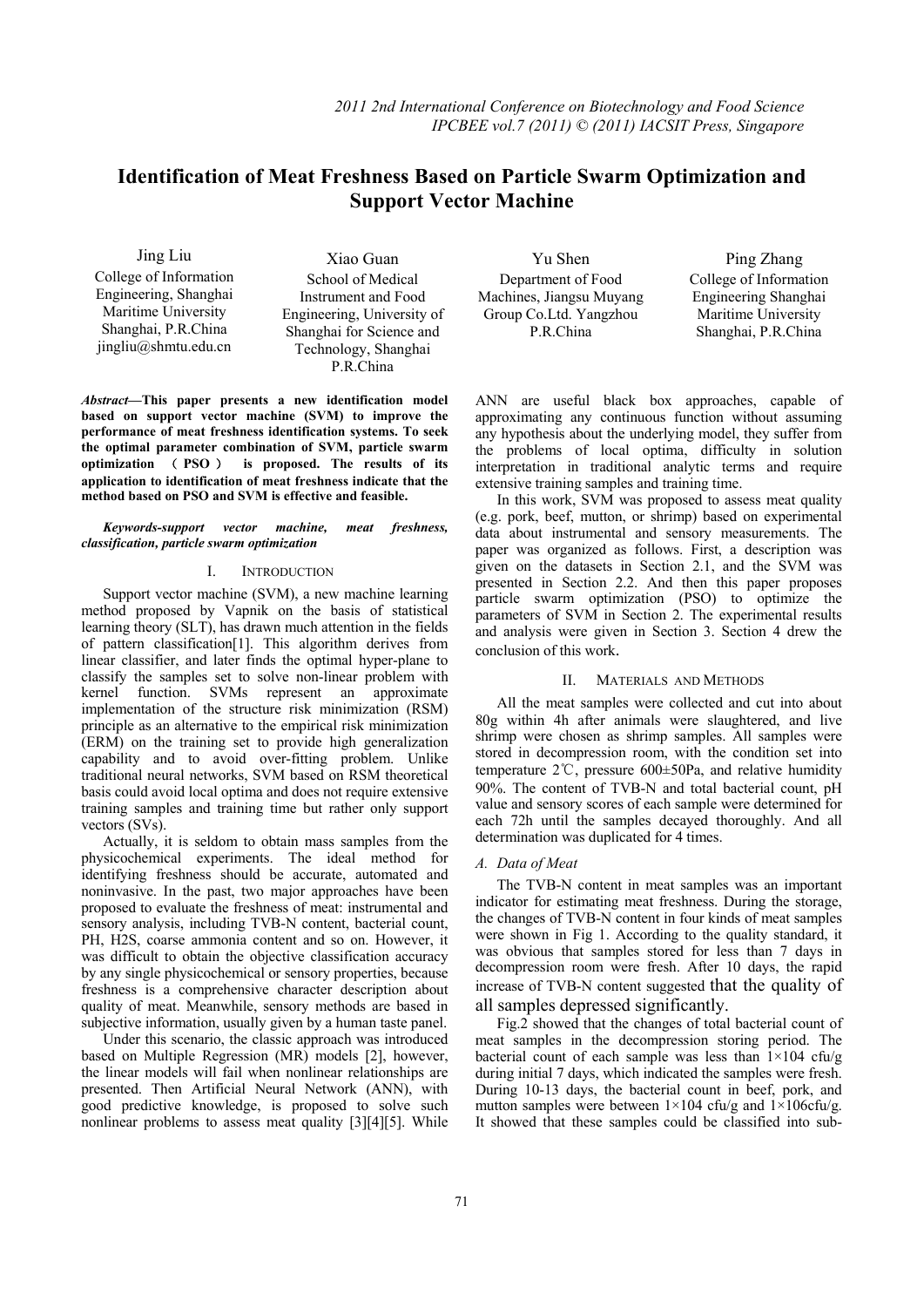# **Identification of Meat Freshness Based on Particle Swarm Optimization and**   **Support Vector Machine**

Jing Liu College of Information Engineering, Shanghai Maritime University Shanghai, P.R.China jingliu@shmtu.edu.cn

Xiao Guan School of Medical Instrument and Food Engineering, University of Shanghai for Science and Technology, Shanghai P.R.China

*Abstract***—This paper presents a new identification model based on support vector machine (SVM) to improve the performance of meat freshness identification systems. To seek the optimal parameter combination of SVM, particle swarm optimization** ( **PSO** ) **is proposed. The results of its application to identification of meat freshness indicate that the method based on PSO and SVM is effective and feasible.** 

*Keywords-support vector machine, meat freshness, classification, particle swarm optimization* 

### I. INTRODUCTION

Support vector machine (SVM), a new machine learning method proposed by Vapnik on the basis of statistical learning theory (SLT), has drawn much attention in the fields of pattern classification[1]. This algorithm derives from linear classifier, and later finds the optimal hyper-plane to classify the samples set to solve non-linear problem with kernel function. SVMs represent an approximate implementation of the structure risk minimization (RSM) principle as an alternative to the empirical risk minimization (ERM) on the training set to provide high generalization capability and to avoid over-fitting problem. Unlike traditional neural networks, SVM based on RSM theoretical basis could avoid local optima and does not require extensive training samples and training time but rather only support vectors (SVs).

Actually, it is seldom to obtain mass samples from the physicochemical experiments. The ideal method for identifying freshness should be accurate, automated and noninvasive. In the past, two major approaches have been proposed to evaluate the freshness of meat: instrumental and sensory analysis, including TVB-N content, bacterial count, PH, H2S, coarse ammonia content and so on. However, it was difficult to obtain the objective classification accuracy by any single physicochemical or sensory properties, because freshness is a comprehensive character description about quality of meat. Meanwhile, sensory methods are based in subjective information, usually given by a human taste panel.

Under this scenario, the classic approach was introduced based on Multiple Regression (MR) models [2], however, the linear models will fail when nonlinear relationships are presented. Then Artificial Neural Network (ANN), with good predictive knowledge, is proposed to solve such nonlinear problems to assess meat quality [3][4][5]. While

Yu Shen Department of Food Machines, Jiangsu Muyang Group Co.Ltd. Yangzhou P.R.China

Ping Zhang College of Information Engineering Shanghai Maritime University Shanghai, P.R.China

ANN are useful black box approaches, capable of approximating any continuous function without assuming any hypothesis about the underlying model, they suffer from the problems of local optima, difficulty in solution interpretation in traditional analytic terms and require extensive training samples and training time.

In this work, SVM was proposed to assess meat quality (e.g. pork, beef, mutton, or shrimp) based on experimental data about instrumental and sensory measurements. The paper was organized as follows. First, a description was given on the datasets in Section 2.1, and the SVM was presented in Section 2.2. And then this paper proposes particle swarm optimization (PSO) to optimize the parameters of SVM in Section 2. The experimental results and analysis were given in Section 3. Section 4 drew the conclusion of this work.

#### II. MATERIALS AND METHODS

All the meat samples were collected and cut into about 80g within 4h after animals were slaughtered, and live shrimp were chosen as shrimp samples. All samples were stored in decompression room, with the condition set into temperature 2℃, pressure 600±50Pa, and relative humidity 90%. The content of TVB-N and total bacterial count, pH value and sensory scores of each sample were determined for each 72h until the samples decayed thoroughly. And all determination was duplicated for 4 times.

## *A. Data of Meat*

The TVB-N content in meat samples was an important indicator for estimating meat freshness. During the storage, the changes of TVB-N content in four kinds of meat samples were shown in Fig 1. According to the quality standard, it was obvious that samples stored for less than 7 days in decompression room were fresh. After 10 days, the rapid increase of TVB-N content suggested that the quality of all samples depressed significantly.

Fig.2 showed that the changes of total bacterial count of meat samples in the decompression storing period. The bacterial count of each sample was less than  $1\times104$  cfu/g during initial 7 days, which indicated the samples were fresh. During 10-13 days, the bacterial count in beef, pork, and mutton samples were between  $1 \times 104$  cfu/g and  $1 \times 106$ cfu/g. It showed that these samples could be classified into sub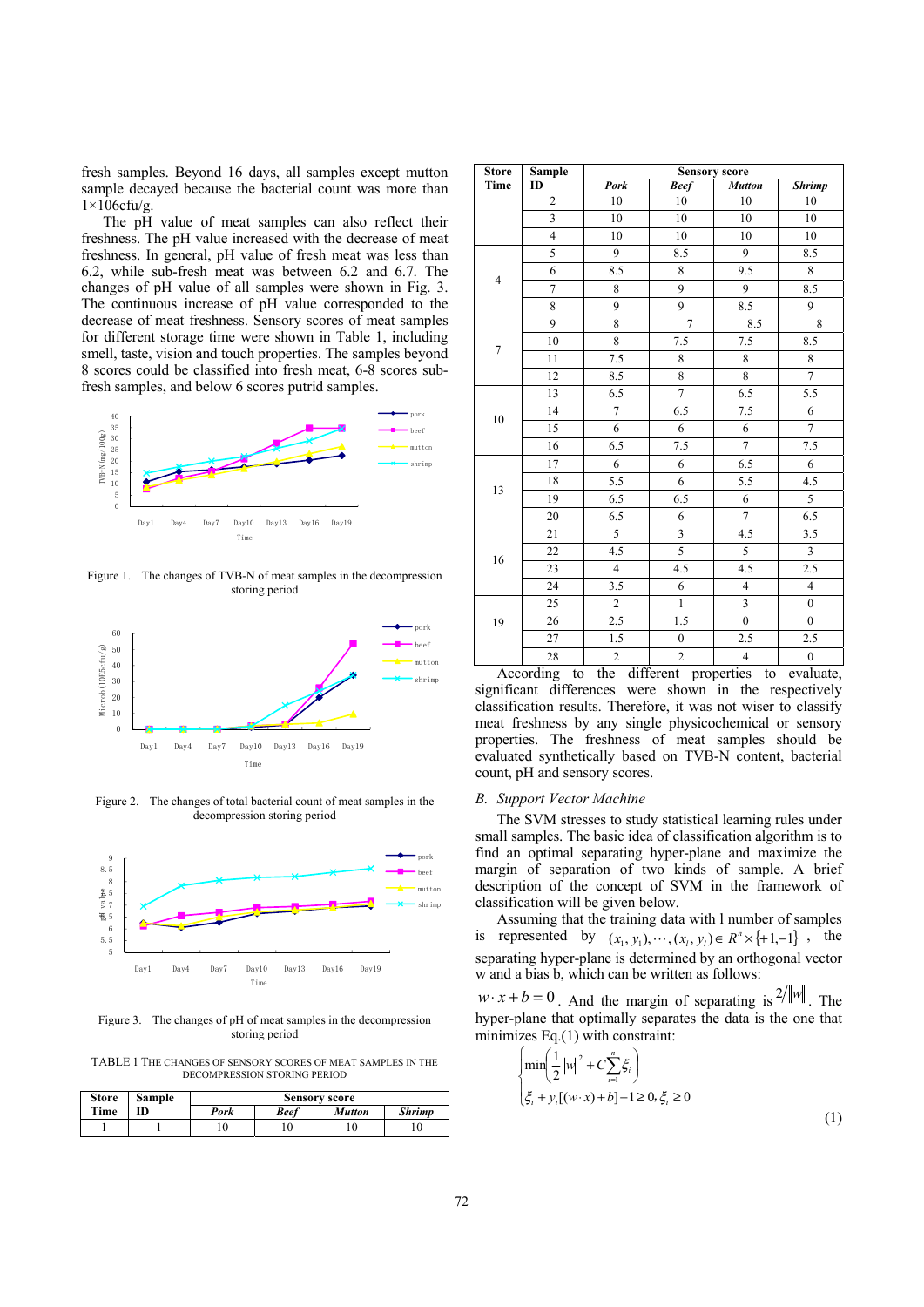fresh samples. Beyond 16 days, all samples except mutton sample decayed because the bacterial count was more than  $1\times106$ cfu/g.

The pH value of meat samples can also reflect their freshness. The pH value increased with the decrease of meat freshness. In general, pH value of fresh meat was less than 6.2, while sub-fresh meat was between 6.2 and 6.7. The changes of pH value of all samples were shown in Fig. 3. The continuous increase of pH value corresponded to the decrease of meat freshness. Sensory scores of meat samples for different storage time were shown in Table 1, including smell, taste, vision and touch properties. The samples beyond 8 scores could be classified into fresh meat, 6-8 scores subfresh samples, and below 6 scores putrid samples.



Figure 1. The changes of TVB-N of meat samples in the decompression storing period



Figure 2. The changes of total bacterial count of meat samples in the decompression storing period



Figure 3. The changes of pH of meat samples in the decompression storing period

TABLE 1 THE CHANGES OF SENSORY SCORES OF MEAT SAMPLES IN THE DECOMPRESSION STORING PERIOD

| <b>Store</b> | <b>Sample</b> | <b>Sensory score</b> |             |               |               |
|--------------|---------------|----------------------|-------------|---------------|---------------|
| Time         |               | Pork                 | <b>Beef</b> | <b>Mutton</b> | <b>Shrimp</b> |
|              |               |                      | 10          |               |               |

| <b>Store</b>   | <b>Sample</b>           | <b>Sensory score</b> |                          |                         |                         |
|----------------|-------------------------|----------------------|--------------------------|-------------------------|-------------------------|
| Time           | ID                      | Pork                 | <b>Beef</b>              | <b>Mutton</b>           | <b>Shrimp</b>           |
|                | $\overline{c}$          | 10                   | 10                       | 10                      | 10                      |
|                | 3                       | 10                   | 10                       | 10                      | 10                      |
|                | $\overline{\mathbf{4}}$ | 10                   | 10                       | 10                      | 10                      |
| $\overline{4}$ | 5                       | 9                    | 8.5                      | 9                       | 8.5                     |
|                | 6                       | 8.5                  | 8                        | 9.5                     | 8                       |
|                | 7                       | 8                    | 9                        | 9                       | 8.5                     |
|                | 8                       | 9                    | 9                        | 8.5                     | 9                       |
|                | 9                       | 8                    | $\overline{7}$           | 8.5                     | 8                       |
| $\tau$         | 10                      | 8                    | 7.5                      | 7.5                     | 8.5                     |
|                | 11                      | 7.5                  | 8                        | 8                       | $\,8\,$                 |
|                | 12                      | 8.5                  | 8                        | 8                       | $\overline{7}$          |
|                | 13                      | 6.5                  | $\overline{\mathcal{I}}$ | 6.5                     | 5.5                     |
| 10             | 14                      | $\overline{7}$       | 6.5                      | $7.5\,$                 | 6                       |
|                | 15                      | 6                    | 6                        | 6                       | $\overline{7}$          |
|                | 16                      | 6.5                  | 7.5                      | $\overline{7}$          | 7.5                     |
| 13             | 17                      | 6                    | 6                        | 6.5                     | 6                       |
|                | 18                      | 5.5                  | 6                        | 5.5                     | 4.5                     |
|                | 19                      | 6.5                  | 6.5                      | 6                       | 5                       |
|                | $20\,$                  | 6.5                  | 6                        | $\overline{7}$          | 6.5                     |
| 16             | 21                      | 5                    | $\mathfrak{Z}$           | 4.5                     | 3.5                     |
|                | 22                      | 4.5                  | 5                        | 5                       | $\overline{\mathbf{3}}$ |
|                | 23                      | $\overline{4}$       | 4.5                      | 4.5                     | 2.5                     |
|                | 24                      | 3.5                  | 6                        | $\overline{4}$          | $\overline{4}$          |
|                | 25                      | $\overline{c}$       | $\mathbf{1}$             | 3                       | $\boldsymbol{0}$        |
| 19             | 26                      | 2.5                  | 1.5                      | $\mathbf{0}$            | $\mathbf{0}$            |
|                | 27                      | $1.5\,$              | $\boldsymbol{0}$         | 2.5                     | 2.5                     |
|                | 28                      | $\overline{2}$       | $\overline{c}$           | $\overline{\mathbf{4}}$ | $\boldsymbol{0}$        |

According to the different properties to evaluate, significant differences were shown in the respectively classification results. Therefore, it was not wiser to classify meat freshness by any single physicochemical or sensory properties. The freshness of meat samples should be evaluated synthetically based on TVB-N content, bacterial count, pH and sensory scores.

#### *B. Support Vector Machine*

The SVM stresses to study statistical learning rules under small samples. The basic idea of classification algorithm is to find an optimal separating hyper-plane and maximize the margin of separation of two kinds of sample. A brief description of the concept of SVM in the framework of classification will be given below.

Assuming that the training data with l number of samples is represented by  $(x_1, y_1), \dots, (x_i, y_i) \in R^n \times \{+1,-1\}$ , the separating hyper-plane is determined by an orthogonal vector w and a bias b, which can be written as follows:

 $w \cdot x + b = 0$ . And the margin of separating is <sup>2/||w||</sup>. The hyper-plane that optimally separates the data is the one that minimizes Eq.(1) with constraint:

$$
\begin{cases} \min\left(\frac{1}{2}||w||^{2} + C\sum_{i=1}^{n}\xi_{i}\right) \\ \xi_{i} + y_{i}[(w \cdot x) + b] - 1 \ge 0, \xi_{i} \ge 0 \end{cases}
$$
\n(1)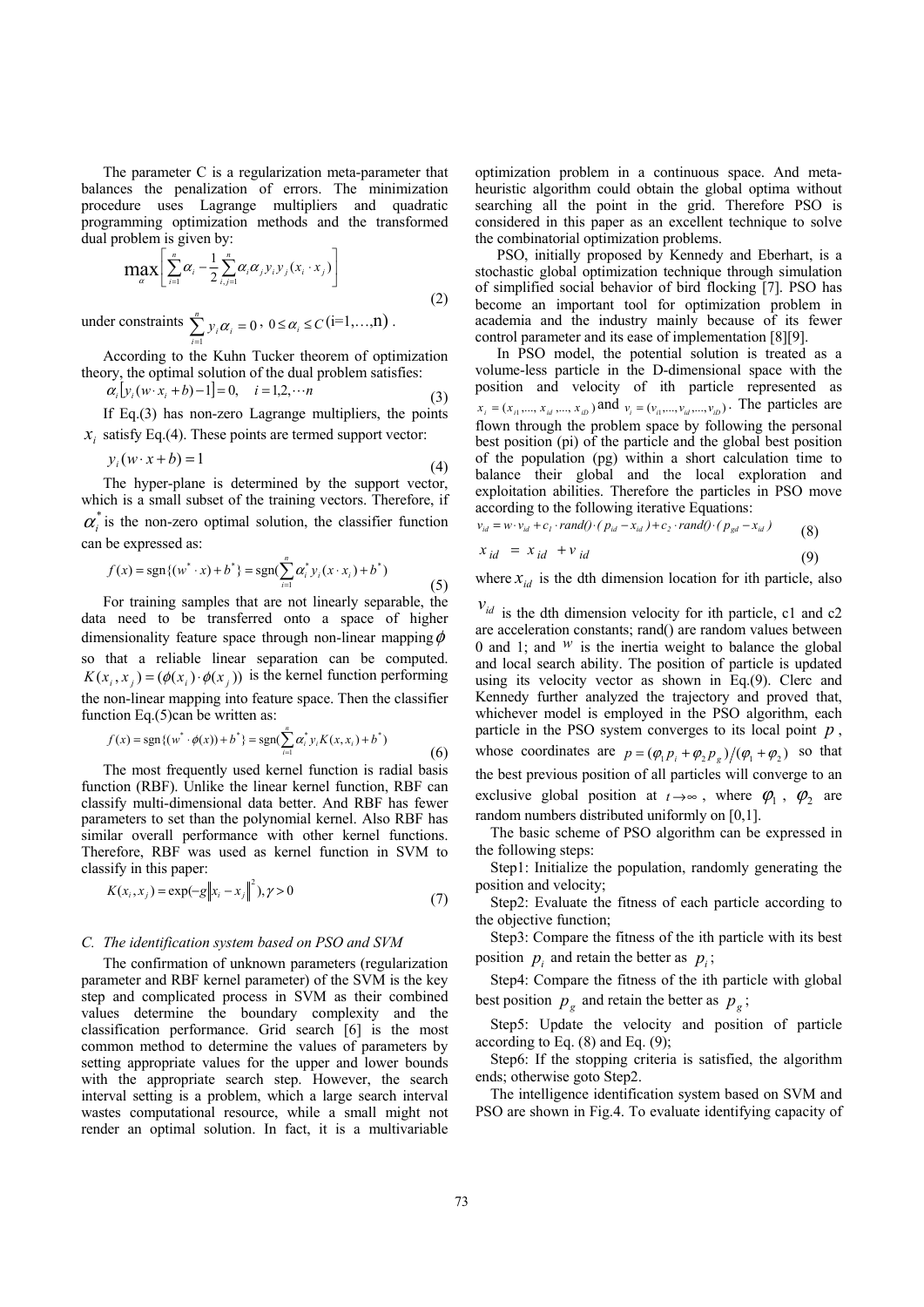The parameter C is a regularization meta-parameter that balances the penalization of errors. The minimization procedure uses Lagrange multipliers and quadratic programming optimization methods and the transformed dual problem is given by:

$$
\max_{\alpha} \left[ \sum_{i=1}^{n} \alpha_i - \frac{1}{2} \sum_{i,j=1}^{n} \alpha_i \alpha_j y_i y_j (x_i \cdot x_j) \right]
$$
(2)

under constraints  $\sum_{i=1}^{n} y_i \alpha_i = 0$  $\sum_{i=1}^{\infty} y_i \alpha_i =$ *n*  $\sum_{i=1}^{n} y_i \alpha_i = 0$ ,  $0 \le \alpha_i \le C$  (i=1,...,n).

According to the Kuhn Tucker theorem of optimization theory, the optimal solution of the dual problem satisfies:

$$
\alpha_i \big[ y_i(w \cdot x_i + b) - 1 \big] = 0, \quad i = 1, 2, \cdots n \tag{3}
$$

If Eq.(3) has non-zero Lagrange multipliers, the points  $\dot{x}$ , satisfy Eq.(4). These points are termed support vector:

$$
y_i(w \cdot x + b) = 1 \tag{4}
$$

The hyper-plane is determined by the support vector, which is a small subset of the training vectors. Therefore, if  $\alpha^*$  is the non-zero optimal solution, the classifier function can be expressed as:

$$
f(x) = \text{sgn}\{(w^* \cdot x) + b^*\} = \text{sgn}(\sum_{i=1}^n \alpha_i^* y_i (x \cdot x_i) + b^*)
$$
\n(5)

For training samples that are not linearly separable, the data need to be transferred onto a space of higher dimensionality feature space through non-linear mapping  $\phi$ so that a reliable linear separation can be computed.  $K(x_i,x_i) = (\phi(x_i) \cdot \phi(x_i))$  is the kernel function performing the non-linear mapping into feature space. Then the classifier function Eq.(5)can be written as:

$$
f(x) = \text{sgn}\{(w^* \cdot \phi(x)) + b^*\} = \text{sgn}(\sum_{i=1}^n \alpha_i^* y_i K(x, x_i) + b^*)
$$
\n(6)

The most frequently used kernel function is radial basis function (RBF). Unlike the linear kernel function, RBF can classify multi-dimensional data better. And RBF has fewer parameters to set than the polynomial kernel. Also RBF has similar overall performance with other kernel functions. Therefore, RBF was used as kernel function in SVM to classify in this paper:

$$
K(x_i, x_j) = \exp(-g||x_i - x_j||^2), \gamma > 0
$$
\n(7)

#### *C. The identification system based on PSO and SVM*

The confirmation of unknown parameters (regularization parameter and RBF kernel parameter) of the SVM is the key step and complicated process in SVM as their combined values determine the boundary complexity and the classification performance. Grid search [6] is the most common method to determine the values of parameters by setting appropriate values for the upper and lower bounds with the appropriate search step. However, the search interval setting is a problem, which a large search interval wastes computational resource, while a small might not render an optimal solution. In fact, it is a multivariable

optimization problem in a continuous space. And metaheuristic algorithm could obtain the global optima without searching all the point in the grid. Therefore PSO is considered in this paper as an excellent technique to solve the combinatorial optimization problems.

PSO, initially proposed by Kennedy and Eberhart, is a stochastic global optimization technique through simulation of simplified social behavior of bird flocking [7]. PSO has become an important tool for optimization problem in academia and the industry mainly because of its fewer control parameter and its ease of implementation [8][9].

In PSO model, the potential solution is treated as a volume-less particle in the D-dimensional space with the position and velocity of ith particle represented as  $x_i = (x_{i1},...,x_{id},...,x_{iD})$  and  $v_i = (v_{i1},...,v_{id},...,v_{iD})$ . The particles are flown through the problem space by following the personal best position (pi) of the particle and the global best position of the population (pg) within a short calculation time to balance their global and the local exploration and exploitation abilities. Therefore the particles in PSO move according to the following iterative Equations:

$$
v_{id} = w \cdot v_{id} + c_l \cdot rand() \cdot (p_{id} - x_{id}) + c_2 \cdot rand() \cdot (p_{gd} - x_{id})
$$
\n
$$
x_{id} = x_{id} + v_{id}
$$
\n(8)

where  $x_{id}$  is the dth dimension location for ith particle, also

 $v_{id}$  is the dth dimension velocity for ith particle, c1 and c2 are acceleration constants; rand() are random values between 0 and 1; and  $W$  is the inertia weight to balance the global and local search ability. The position of particle is updated using its velocity vector as shown in Eq.(9). Clerc and Kennedy further analyzed the trajectory and proved that, whichever model is employed in the PSO algorithm, each particle in the PSO system converges to its local point *p* , whose coordinates are  $p = (\varphi_1 p_i + \varphi_2 p_e) / (\varphi_1 + \varphi_2)$  so that the best previous position of all particles will converge to an exclusive global position at  $t \rightarrow \infty$ , where  $\varphi_1$ ,  $\varphi_2$  are random numbers distributed uniformly on [0,1].

The basic scheme of PSO algorithm can be expressed in the following steps:

Step1: Initialize the population, randomly generating the position and velocity;

Step2: Evaluate the fitness of each particle according to the objective function;

Step3: Compare the fitness of the ith particle with its best position  $p_i$  and retain the better as  $p_i$ ;

Step4: Compare the fitness of the ith particle with global best position  $p_g$  and retain the better as  $p_g$ ;

Step5: Update the velocity and position of particle according to Eq. (8) and Eq. (9);

Step6: If the stopping criteria is satisfied, the algorithm ends; otherwise goto Step2.

The intelligence identification system based on SVM and PSO are shown in Fig.4. To evaluate identifying capacity of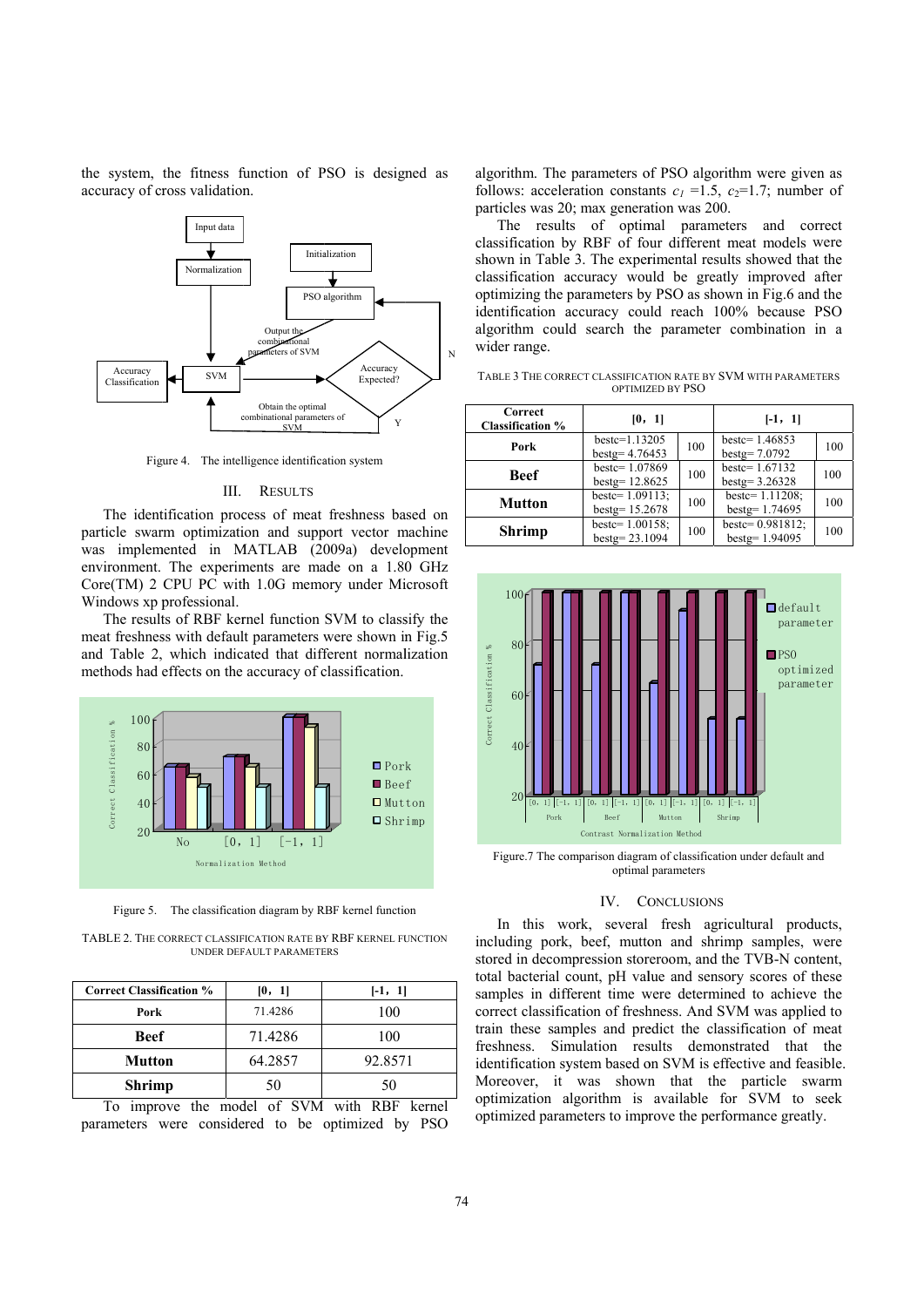the system, the fitness function of PSO is designed as accuracy of cross validation.



Figure 4. The intelligence identification system

#### III. **RESULTS**

The identification process of meat freshness based on particle swarm optimization and support vector machine was implemented in MATLAB (2009a) development environment. The experiments are made on a 1.80 GHz Core(TM) 2 CPU PC with 1.0G memory under Microsoft Windows xp professional.

The results of RBF kernel function SVM to classify the meat freshness with default parameters were shown in Fig.5 and Table 2, which indicated that different normalization methods had effects on the accuracy of classification.



Figure 5. The classification diagram by RBF kernel function

TABLE 2. THE CORRECT CLASSIFICATION RATE BY RBF KERNEL FUNCTION **UNDER DEFAULT PARAMETERS** 

| <b>Correct Classification %</b> | [0, 1]  | $[-1, 1]$ |
|---------------------------------|---------|-----------|
| Pork                            | 71.4286 | 100       |
| Beef                            | 71.4286 | 100       |
| <b>Mutton</b>                   | 64.2857 | 92.8571   |
| <b>Shrimp</b>                   | 50      | 50        |

To improve the model of SVM with RBF kernel parameters were considered to be optimized by PSO

algorithm. The parameters of PSO algorithm were given as follows: acceleration constants  $c_1 = 1.5$ ,  $c_2 = 1.7$ ; number of particles was 20; max generation was 200.

The results of optimal parameters and correct classification by RBF of four different meat models were shown in Table 3. The experimental results showed that the classification accuracy would be greatly improved after optimizing the parameters by PSO as shown in Fig.6 and the identification accuracy could reach 100% because PSO algorithm could search the parameter combination in a wider range.

TABLE 3 THE CORRECT CLASSIFICATION RATE BY SVM WITH PARAMETERS OPTIMIZED BY PSO

| <b>Correct</b><br><b>Classification %</b> | [0, 1]                               |     | $[-1, 1]$                               |     |
|-------------------------------------------|--------------------------------------|-----|-----------------------------------------|-----|
| Pork                                      | $bestc=1.13205$<br>$bestg = 4.76453$ | 100 | bestc= $1.46853$<br>bestg= $7.0792$     | 100 |
| <b>Beef</b>                               | bestc=1.07869<br>$bestg = 12.8625$   | 100 | bestc= $1.67132$<br>$bestg = 3.26328$   | 100 |
| <b>Mutton</b>                             | bestc= $1.09113$ ;<br>bestg=15.2678  | 100 | bestc= $1.11208$ ;<br>$bestg = 1.74695$ | 100 |
| <b>Shrimp</b>                             | bestc= $1.00158$ ;<br>bestg=23.1094  | 100 | bestc= $0.981812$ ;<br>bestg= 1.94095   | 100 |



Figure.7 The comparison diagram of classification under default and optimal parameters

## IV. CONCLUSIONS

In this work, several fresh agricultural products, including pork, beef, mutton and shrimp samples, were stored in decompression storeroom, and the TVB-N content, total bacterial count, pH value and sensory scores of these samples in different time were determined to achieve the correct classification of freshness. And SVM was applied to train these samples and predict the classification of meat freshness. Simulation results demonstrated that the identification system based on SVM is effective and feasible. Moreover, it was shown that the particle swarm optimization algorithm is available for SVM to seek optimized parameters to improve the performance greatly.